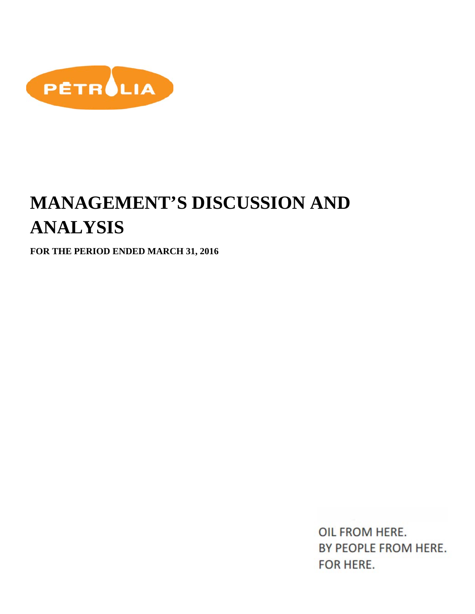

# **MANAGEMENT'S DISCUSSION AND ANALYSIS**

**FOR THE PERIOD ENDED MARCH 31, 2016**

OIL FROM HERE. BY PEOPLE FROM HERE. FOR HERE.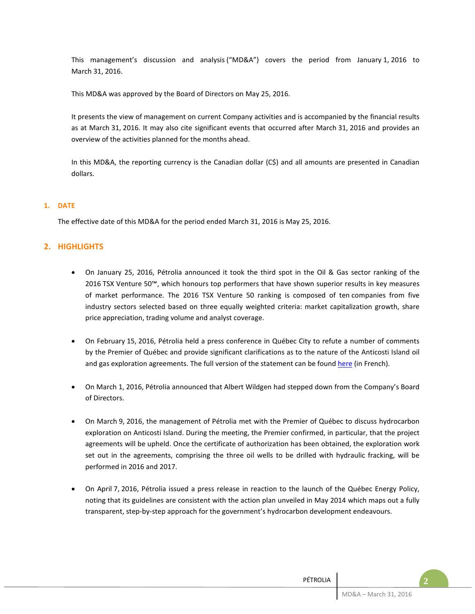This management's discussion and analysis ("MD&A") covers the period from January 1, 2016 to March 31, 2016.

This MD&A was approved by the Board of Directors on May 25, 2016.

It presents the view of management on current Company activities and is accompanied by the financial results as at March 31, 2016. It may also cite significant events that occurred after March 31, 2016 and provides an overview of the activities planned for the months ahead.

In this MD&A, the reporting currency is the Canadian dollar (C\$) and all amounts are presented in Canadian dollars.

## **1. DATE**

The effective date of this MD&A for the period ended March 31, 2016 is May 25, 2016.

## **2. HIGHLIGHTS**

- On January 25, 2016, Pétrolia announced it took the third spot in the Oil & Gas sector ranking of the 2016 TSX Venture 50™, which honours top performers that have shown superior results in key measures of market performance. The 2016 TSX Venture 50 ranking is composed of ten companies from five industry sectors selected based on three equally weighted criteria: market capitalization growth, share price appreciation, trading volume and analyst coverage.
- On February 15, 2016, Pétrolia held a press conference in Québec City to refute a number of comments by the Premier of Québec and provide significant clarifications as to the nature of the Anticosti Island oil and gas exploration agreements. The full version of the statement can be found [here](http://petrolia-inc.com/mod/file/BlogFichier/e46de7e1bcaaced9a54f1e9d0d2f800d.pdf) (in French).
- On March 1, 2016, Pétrolia announced that Albert Wildgen had stepped down from the Company's Board of Directors.
- On March 9, 2016, the management of Pétrolia met with the Premier of Québec to discuss hydrocarbon exploration on Anticosti Island. During the meeting, the Premier confirmed, in particular, that the project agreements will be upheld. Once the certificate of authorization has been obtained, the exploration work set out in the agreements, comprising the three oil wells to be drilled with hydraulic fracking, will be performed in 2016 and 2017.
- On April 7, 2016, Pétrolia issued a press release in reaction to the launch of the Québec Energy Policy, noting that its guidelines are consistent with the action plan unveiled in May 2014 which maps out a fully transparent, step-by-step approach for the government's hydrocarbon development endeavours.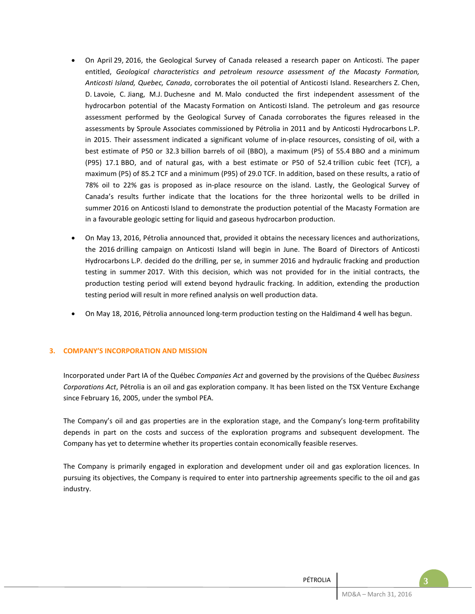- On April 29, 2016, the Geological Survey of Canada released a research paper on Anticosti. The paper entitled, *Geological characteristics and petroleum resource assessment of the Macasty Formation, Anticosti Island, Quebec, Canada*, corroborates the oil potential of Anticosti Island. Researchers Z. Chen, D. Lavoie, C. Jiang, M.J. Duchesne and M. Malo conducted the first independent assessment of the hydrocarbon potential of the Macasty Formation on Anticosti Island. The petroleum and gas resource assessment performed by the Geological Survey of Canada corroborates the figures released in the assessments by Sproule Associates commissioned by Pétrolia in 2011 and by Anticosti Hydrocarbons L.P. in 2015. Their assessment indicated a significant volume of in-place resources, consisting of oil, with a best estimate of P50 or 32.3 billion barrels of oil (BBO), a maximum (P5) of 55.4 BBO and a minimum (P95) 17.1 BBO, and of natural gas, with a best estimate or P50 of 52.4 trillion cubic feet (TCF), a maximum (P5) of 85.2 TCF and a minimum (P95) of 29.0 TCF. In addition, based on these results, a ratio of 78% oil to 22% gas is proposed as in-place resource on the island. Lastly, the Geological Survey of Canada's results further indicate that the locations for the three horizontal wells to be drilled in summer 2016 on Anticosti Island to demonstrate the production potential of the Macasty Formation are in a favourable geologic setting for liquid and gaseous hydrocarbon production.
- On May 13, 2016, Pétrolia announced that, provided it obtains the necessary licences and authorizations, the 2016 drilling campaign on Anticosti Island will begin in June. The Board of Directors of Anticosti Hydrocarbons L.P. decided do the drilling, per se, in summer 2016 and hydraulic fracking and production testing in summer 2017. With this decision, which was not provided for in the initial contracts, the production testing period will extend beyond hydraulic fracking. In addition, extending the production testing period will result in more refined analysis on well production data.
- On May 18, 2016, Pétrolia announced long-term production testing on the Haldimand 4 well has begun.

#### **3. COMPANY'S INCORPORATION AND MISSION**

Incorporated under Part IA of the Québec *Companies Act* and governed by the provisions of the Québec *Business Corporations Act*, Pétrolia is an oil and gas exploration company. It has been listed on the TSX Venture Exchange since February 16, 2005, under the symbol PEA.

The Company's oil and gas properties are in the exploration stage, and the Company's long-term profitability depends in part on the costs and success of the exploration programs and subsequent development. The Company has yet to determine whether its properties contain economically feasible reserves.

The Company is primarily engaged in exploration and development under oil and gas exploration licences. In pursuing its objectives, the Company is required to enter into partnership agreements specific to the oil and gas industry.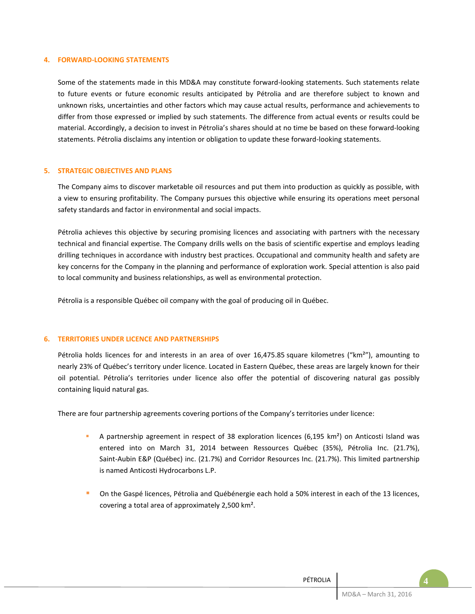#### **4. FORWARD-LOOKING STATEMENTS**

Some of the statements made in this MD&A may constitute forward-looking statements. Such statements relate to future events or future economic results anticipated by Pétrolia and are therefore subject to known and unknown risks, uncertainties and other factors which may cause actual results, performance and achievements to differ from those expressed or implied by such statements. The difference from actual events or results could be material. Accordingly, a decision to invest in Pétrolia's shares should at no time be based on these forward-looking statements. Pétrolia disclaims any intention or obligation to update these forward-looking statements.

#### **5. STRATEGIC OBJECTIVES AND PLANS**

The Company aims to discover marketable oil resources and put them into production as quickly as possible, with a view to ensuring profitability. The Company pursues this objective while ensuring its operations meet personal safety standards and factor in environmental and social impacts.

Pétrolia achieves this objective by securing promising licences and associating with partners with the necessary technical and financial expertise. The Company drills wells on the basis of scientific expertise and employs leading drilling techniques in accordance with industry best practices. Occupational and community health and safety are key concerns for the Company in the planning and performance of exploration work. Special attention is also paid to local community and business relationships, as well as environmental protection.

Pétrolia is a responsible Québec oil company with the goal of producing oil in Québec.

#### **6. TERRITORIES UNDER LICENCE AND PARTNERSHIPS**

Pétrolia holds licences for and interests in an area of over 16,475.85 square kilometres ("km<sup>2</sup>"), amounting to nearly 23% of Québec's territory under licence. Located in Eastern Québec, these areas are largely known for their oil potential. Pétrolia's territories under licence also offer the potential of discovering natural gas possibly containing liquid natural gas.

There are four partnership agreements covering portions of the Company's territories under licence:

- A partnership agreement in respect of 38 exploration licences (6,195 km²) on Anticosti Island was entered into on March 31, 2014 between Ressources Québec (35%), Pétrolia Inc. (21.7%), Saint-Aubin E&P (Québec) inc. (21.7%) and Corridor Resources Inc. (21.7%). This limited partnership is named Anticosti Hydrocarbons L.P.
- On the Gaspé licences, Pétrolia and Québénergie each hold a 50% interest in each of the 13 licences, covering a total area of approximately 2,500 km².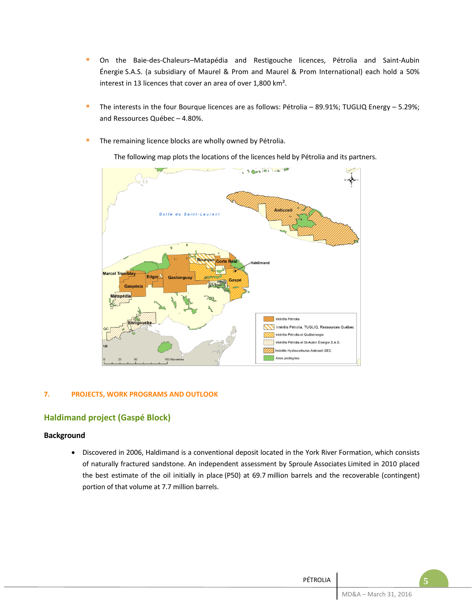- On the Baie-des-Chaleurs–Matapédia and Restigouche licences, Pétrolia and Saint-Aubin Énergie S.A.S. (a subsidiary of Maurel & Prom and Maurel & Prom International) each hold a 50% interest in 13 licences that cover an area of over 1,800 km².
- The interests in the four Bourque licences are as follows: Pétrolia 89.91%; TUGLIQ Energy 5.29%; and Ressources Québec – 4.80%.
- **The remaining licence blocks are wholly owned by Pétrolia.**

The following map plots the locations of the licences held by Pétrolia and its partners.



## **7. PROJECTS, WORK PROGRAMS AND OUTLOOK**

# **Haldimand project (Gaspé Block)**

# **Background**

• Discovered in 2006, Haldimand is a conventional deposit located in the York River Formation, which consists of naturally fractured sandstone. An independent assessment by Sproule Associates Limited in 2010 placed the best estimate of the oil initially in place (P50) at 69.7 million barrels and the recoverable (contingent) portion of that volume at 7.7 million barrels.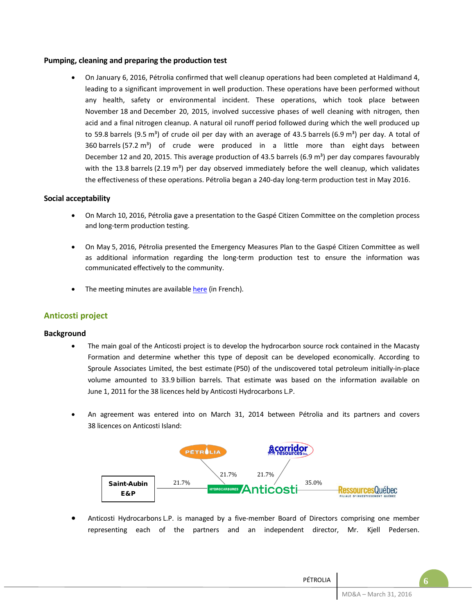## **Pumping, cleaning and preparing the production test**

• On January 6, 2016, Pétrolia confirmed that well cleanup operations had been completed at Haldimand 4, leading to a significant improvement in well production. These operations have been performed without any health, safety or environmental incident. These operations, which took place between November 18 and December 20, 2015, involved successive phases of well cleaning with nitrogen, then acid and a final nitrogen cleanup. A natural oil runoff period followed during which the well produced up to 59.8 barrels (9.5 m<sup>3</sup>) of crude oil per day with an average of 43.5 barrels (6.9 m<sup>3</sup>) per day. A total of 360 barrels (57.2 m<sup>3</sup>) of crude were produced in a little more than eight days between December 12 and 20, 2015. This average production of 43.5 barrels (6.9 m<sup>3</sup>) per day compares favourably with the 13.8 barrels (2.19  $m<sup>3</sup>$ ) per day observed immediately before the well cleanup, which validates the effectiveness of these operations. Pétrolia began a 240-day long-term production test in May 2016.

## **Social acceptability**

- On March 10, 2016, Pétrolia gave a presentation to the Gaspé Citizen Committee on the completion process and long-term production testing.
- On May 5, 2016, Pétrolia presented the Emergency Measures Plan to the Gaspé Citizen Committee as well as additional information regarding the long-term production test to ensure the information was communicated effectively to the community.
- The meeting minutes are available [here](http://cstph.net/) (in French).

# **Anticosti project**

## **Background**

- The main goal of the Anticosti project is to develop the hydrocarbon source rock contained in the Macasty Formation and determine whether this type of deposit can be developed economically. According to Sproule Associates Limited, the best estimate (P50) of the undiscovered total petroleum initially-in-place volume amounted to 33.9 billion barrels. That estimate was based on the information available on June 1, 2011 for the 38 licences held by Anticosti Hydrocarbons L.P.
- An agreement was entered into on March 31, 2014 between Pétrolia and its partners and covers 38 licences on Anticosti Island:



• Anticosti Hydrocarbons L.P. is managed by a five-member Board of Directors comprising one member representing each of the partners and an independent director, Mr. Kjell Pedersen.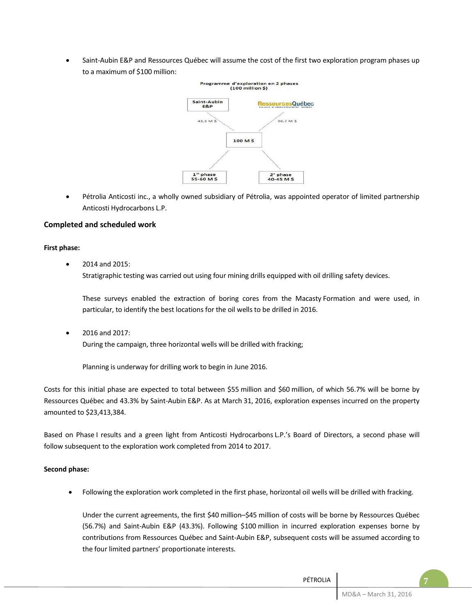Saint-Aubin E&P and Ressources Québec will assume the cost of the first two exploration program phases up to a maximum of \$100 million:



• Pétrolia Anticosti inc., a wholly owned subsidiary of Pétrolia, was appointed operator of limited partnership Anticosti Hydrocarbons L.P.

## **Completed and scheduled work**

## **First phase:**

• 2014 and 2015:

Stratigraphic testing was carried out using four mining drills equipped with oil drilling safety devices.

These surveys enabled the extraction of boring cores from the Macasty Formation and were used, in particular, to identify the best locations for the oil wells to be drilled in 2016.

• 2016 and 2017: During the campaign, three horizontal wells will be drilled with fracking;

Planning is underway for drilling work to begin in June 2016.

Costs for this initial phase are expected to total between \$55 million and \$60 million, of which 56.7% will be borne by Ressources Québec and 43.3% by Saint-Aubin E&P. As at March 31, 2016, exploration expenses incurred on the property amounted to \$23,413,384.

Based on Phase I results and a green light from Anticosti Hydrocarbons L.P.'s Board of Directors, a second phase will follow subsequent to the exploration work completed from 2014 to 2017.

#### **Second phase:**

• Following the exploration work completed in the first phase, horizontal oil wells will be drilled with fracking.

Under the current agreements, the first \$40 million–\$45 million of costs will be borne by Ressources Québec (56.7%) and Saint-Aubin E&P (43.3%). Following \$100 million in incurred exploration expenses borne by contributions from Ressources Québec and Saint-Aubin E&P, subsequent costs will be assumed according to the four limited partners' proportionate interests.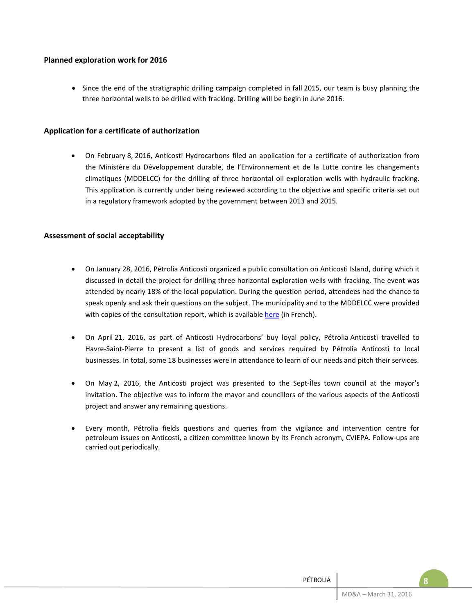## **Planned exploration work for 2016**

• Since the end of the stratigraphic drilling campaign completed in fall 2015, our team is busy planning the three horizontal wells to be drilled with fracking. Drilling will be begin in June 2016.

## **Application for a certificate of authorization**

• On February 8, 2016, Anticosti Hydrocarbons filed an application for a certificate of authorization from the Ministère du Développement durable, de l'Environnement et de la Lutte contre les changements climatiques (MDDELCC) for the drilling of three horizontal oil exploration wells with hydraulic fracking. This application is currently under being reviewed according to the objective and specific criteria set out in a regulatory framework adopted by the government between 2013 and 2015.

## **Assessment of social acceptability**

- On January 28, 2016, Pétrolia Anticosti organized a public consultation on Anticosti Island, during which it discussed in detail the project for drilling three horizontal exploration wells with fracking. The event was attended by nearly 18% of the local population. During the question period, attendees had the chance to speak openly and ask their questions on the subject. The municipality and to the MDDELCC were provided with copies of the consultation report, which is availabl[e here](http://hydrocarbures-anticosti.com/mod/file/BlogFichier/45c48cce2e2d7fbdea1afc51c7c6ad26.pdf) (in French).
- On April 21, 2016, as part of Anticosti Hydrocarbons' buy loyal policy, Pétrolia Anticosti travelled to Havre-Saint-Pierre to present a list of goods and services required by Pétrolia Anticosti to local businesses. In total, some 18 businesses were in attendance to learn of our needs and pitch their services.
- On May 2, 2016, the Anticosti project was presented to the Sept-Îles town council at the mayor's invitation. The objective was to inform the mayor and councillors of the various aspects of the Anticosti project and answer any remaining questions.
- Every month, Pétrolia fields questions and queries from the vigilance and intervention centre for petroleum issues on Anticosti, a citizen committee known by its French acronym, CVIEPA. Follow-ups are carried out periodically.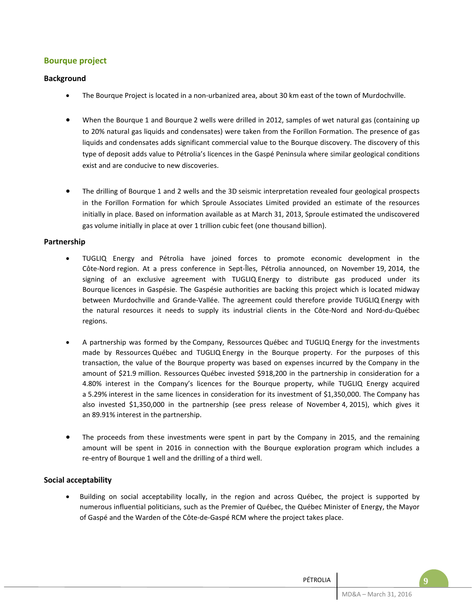# **Bourque project**

## **Background**

- The Bourque Project is located in a non-urbanized area, about 30 km east of the town of Murdochville.
- When the Bourque 1 and Bourque 2 wells were drilled in 2012, samples of wet natural gas (containing up to 20% natural gas liquids and condensates) were taken from the Forillon Formation. The presence of gas liquids and condensates adds significant commercial value to the Bourque discovery. The discovery of this type of deposit adds value to Pétrolia's licences in the Gaspé Peninsula where similar geological conditions exist and are conducive to new discoveries.
- The drilling of Bourque 1 and 2 wells and the 3D seismic interpretation revealed four geological prospects in the Forillon Formation for which Sproule Associates Limited provided an estimate of the resources initially in place. Based on information available as at March 31, 2013, Sproule estimated the undiscovered gas volume initially in place at over 1 trillion cubic feet (one thousand billion).

## **Partnership**

- TUGLIQ Energy and Pétrolia have joined forces to promote economic development in the Côte-Nord region. At a press conference in Sept-Îles, Pétrolia announced, on November 19, 2014, the signing of an exclusive agreement with TUGLIQ Energy to distribute gas produced under its Bourque licences in Gaspésie. The Gaspésie authorities are backing this project which is located midway between Murdochville and Grande-Vallée. The agreement could therefore provide TUGLIQ Energy with the natural resources it needs to supply its industrial clients in the Côte-Nord and Nord-du-Québec regions.
- A partnership was formed by the Company, Ressources Québec and TUGLIQ Energy for the investments made by Ressources Québec and TUGLIQ Energy in the Bourque property. For the purposes of this transaction, the value of the Bourque property was based on expenses incurred by the Company in the amount of \$21.9 million. Ressources Québec invested \$918,200 in the partnership in consideration for a 4.80% interest in the Company's licences for the Bourque property, while TUGLIQ Energy acquired a 5.29% interest in the same licences in consideration for its investment of \$1,350,000. The Company has also invested \$1,350,000 in the partnership (see press release of November 4, 2015), which gives it an 89.91% interest in the partnership.
- The proceeds from these investments were spent in part by the Company in 2015, and the remaining amount will be spent in 2016 in connection with the Bourque exploration program which includes a re-entry of Bourque 1 well and the drilling of a third well.

# **Social acceptability**

• Building on social acceptability locally, in the region and across Québec, the project is supported by numerous influential politicians, such as the Premier of Québec, the Québec Minister of Energy, the Mayor of Gaspé and the Warden of the Côte-de-Gaspé RCM where the project takes place.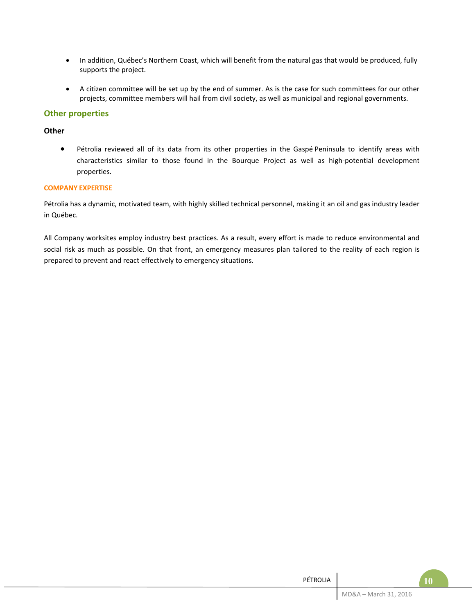- In addition, Québec's Northern Coast, which will benefit from the natural gas that would be produced, fully supports the project.
- A citizen committee will be set up by the end of summer. As is the case for such committees for our other projects, committee members will hail from civil society, as well as municipal and regional governments.

## **Other properties**

## **Other**

• Pétrolia reviewed all of its data from its other properties in the Gaspé Peninsula to identify areas with characteristics similar to those found in the Bourque Project as well as high-potential development properties.

## **COMPANY EXPERTISE**

Pétrolia has a dynamic, motivated team, with highly skilled technical personnel, making it an oil and gas industry leader in Québec.

All Company worksites employ industry best practices. As a result, every effort is made to reduce environmental and social risk as much as possible. On that front, an emergency measures plan tailored to the reality of each region is prepared to prevent and react effectively to emergency situations.

| PÉTROLIA |                       |  |
|----------|-----------------------|--|
|          | MD&A - March 31, 2016 |  |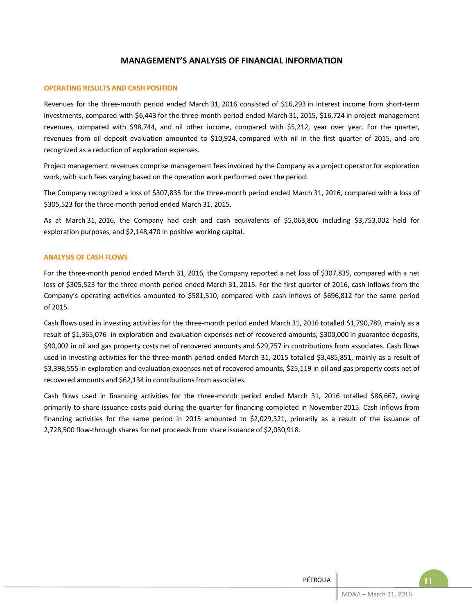## **MANAGEMENT'S ANALYSIS OF FINANCIAL INFORMATION**

#### **OPERATING RESULTS AND CASH POSITION**

Revenues for the three-month period ended March 31, 2016 consisted of \$16,293 in interest income from short-term investments, compared with \$6,443 for the three-month period ended March 31, 2015, \$16,724 in project management revenues, compared with \$98,744, and nil other income, compared with \$5,212, year over year. For the quarter, revenues from oil deposit evaluation amounted to \$10,924, compared with nil in the first quarter of 2015, and are recognized as a reduction of exploration expenses.

Project management revenues comprise management fees invoiced by the Company as a project operator for exploration work, with such fees varying based on the operation work performed over the period.

The Company recognized a loss of \$307,835 for the three-month period ended March 31, 2016, compared with a loss of \$305,523 for the three-month period ended March 31, 2015.

As at March 31, 2016, the Company had cash and cash equivalents of \$5,063,806 including \$3,753,002 held for exploration purposes, and \$2,148,470 in positive working capital.

#### **ANALYSIS OF CASH FLOWS**

For the three-month period ended March 31, 2016, the Company reported a net loss of \$307,835, compared with a net loss of \$305,523 for the three-month period ended March 31, 2015. For the first quarter of 2016, cash inflows from the Company's operating activities amounted to \$581,510, compared with cash inflows of \$696,812 for the same period of 2015.

Cash flows used in investing activities for the three-month period ended March 31, 2016 totalled \$1,790,789, mainly as a result of \$1,365,076 in exploration and evaluation expenses net of recovered amounts, \$300,000 in guarantee deposits, \$90,002 in oil and gas property costs net of recovered amounts and \$29,757 in contributions from associates. Cash flows used in investing activities for the three-month period ended March 31, 2015 totalled \$3,485,851, mainly as a result of \$3,398,555 in exploration and evaluation expenses net of recovered amounts, \$25,119 in oil and gas property costs net of recovered amounts and \$62,134 in contributions from associates.

Cash flows used in financing activities for the three-month period ended March 31, 2016 totalled \$86,667, owing primarily to share issuance costs paid during the quarter for financing completed in November 2015. Cash inflows from financing activities for the same period in 2015 amounted to \$2,029,321, primarily as a result of the issuance of 2,728,500 flow-through shares for net proceeds from share issuance of \$2,030,918.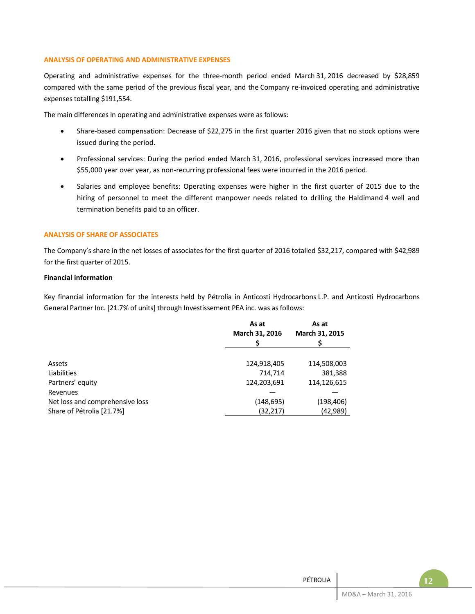#### **ANALYSIS OF OPERATING AND ADMINISTRATIVE EXPENSES**

Operating and administrative expenses for the three-month period ended March 31, 2016 decreased by \$28,859 compared with the same period of the previous fiscal year, and the Company re-invoiced operating and administrative expenses totalling \$191,554.

The main differences in operating and administrative expenses were as follows:

- Share-based compensation: Decrease of \$22,275 in the first quarter 2016 given that no stock options were issued during the period.
- Professional services: During the period ended March 31, 2016, professional services increased more than \$55,000 year over year, as non-recurring professional fees were incurred in the 2016 period.
- Salaries and employee benefits: Operating expenses were higher in the first quarter of 2015 due to the hiring of personnel to meet the different manpower needs related to drilling the Haldimand 4 well and termination benefits paid to an officer.

## **ANALYSIS OF SHARE OF ASSOCIATES**

The Company's share in the net losses of associates for the first quarter of 2016 totalled \$32,217, compared with \$42,989 for the first quarter of 2015.

## **Financial information**

Key financial information for the interests held by Pétrolia in Anticosti Hydrocarbons L.P. and Anticosti Hydrocarbons General Partner Inc. [21.7% of units] through Investissement PEA inc. was as follows:

| As at<br>March 31, 2016 | As at<br>March 31, 2015 |
|-------------------------|-------------------------|
|                         | 114,508,003             |
| 714,714                 | 381,388                 |
| 124,203,691             | 114,126,615             |
|                         |                         |
| (148, 695)<br>(32,217)  | (198,406)<br>(42,989)   |
|                         | 124,918,405             |

| PÉTROLIA |                       |  |
|----------|-----------------------|--|
|          | MD&A - March 31, 2016 |  |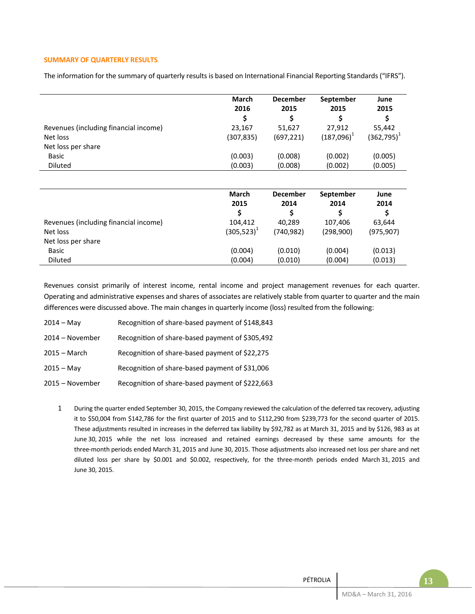## **SUMMARY OF QUARTERLY RESULTS**

The information for the summary of quarterly results is based on International Financial Reporting Standards ("IFRS").

|                                       | <b>March</b><br>2016 | <b>December</b><br>2015 | September<br>2015 | June<br>2015  |
|---------------------------------------|----------------------|-------------------------|-------------------|---------------|
|                                       | \$                   | \$                      | \$                | \$            |
| Revenues (including financial income) | 23,167               | 51,627                  | 27,912            | 55,442        |
| Net loss                              | (307,835)            | (697,221)               | $(187,096)^1$     | $(362,795)^1$ |
| Net loss per share                    |                      |                         |                   |               |
| Basic                                 | (0.003)              | (0.008)                 | (0.002)           | (0.005)       |
| <b>Diluted</b>                        | (0.003)              | (0.008)                 | (0.002)           | (0.005)       |
|                                       |                      |                         |                   |               |
|                                       | <b>March</b>         | <b>December</b>         | September         | June          |
|                                       | 2015                 | 2014                    | 2014              | 2014          |
|                                       | \$                   | \$                      | \$                | \$            |
| Revenues (including financial income) | 104,412              | 40,289                  | 107,406           | 63,644        |
| Net loss                              | $(305, 523)^{1}$     | (740,982)               | (298,900)         | (975, 907)    |
| Net loss per share                    |                      |                         |                   |               |
| <b>Basic</b>                          | (0.004)              | (0.010)                 | (0.004)           | (0.013)       |
| <b>Diluted</b>                        | (0.004)              | (0.010)                 | (0.004)           | (0.013)       |

Revenues consist primarily of interest income, rental income and project management revenues for each quarter. Operating and administrative expenses and shares of associates are relatively stable from quarter to quarter and the main differences were discussed above. The main changes in quarterly income (loss) resulted from the following:

| $2014 - May$    | Recognition of share-based payment of \$148,843 |
|-----------------|-------------------------------------------------|
| 2014 - November | Recognition of share-based payment of \$305,492 |
| $2015 - March$  | Recognition of share-based payment of \$22,275  |
| $2015 - May$    | Recognition of share-based payment of \$31,006  |
| 2015 - November | Recognition of share-based payment of \$222,663 |

1 During the quarter ended September 30, 2015, the Company reviewed the calculation of the deferred tax recovery, adjusting it to \$50,004 from \$142,786 for the first quarter of 2015 and to \$112,290 from \$239,773 for the second quarter of 2015. These adjustments resulted in increases in the deferred tax liability by \$92,782 as at March 31, 2015 and by \$126, 983 as at June 30, 2015 while the net loss increased and retained earnings decreased by these same amounts for the three-month periods ended March 31, 2015 and June 30, 2015. Those adjustments also increased net loss per share and net diluted loss per share by \$0.001 and \$0.002, respectively, for the three-month periods ended March 31, 2015 and June 30, 2015.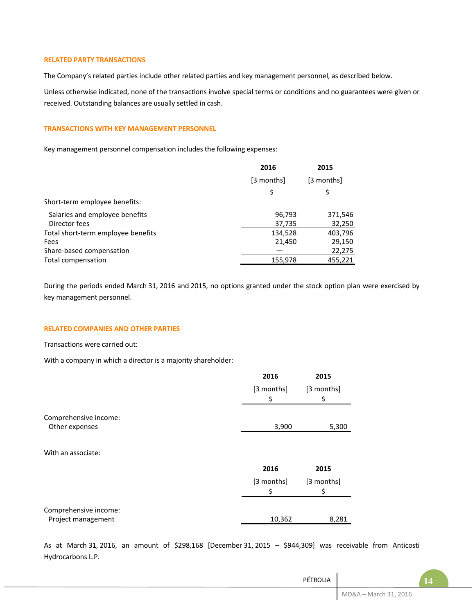#### **RELATED PARTY TRANSACTIONS**

The Company's related parties include other related parties and key management personnel, as described below.

Unless otherwise indicated, none of the transactions involve special terms or conditions and no guarantees were given or received. Outstanding balances are usually settled in cash.

## **TRANSACTIONS WITH KEY MANAGEMENT PERSONNEL**

Key management personnel compensation includes the following expenses:

| [3 months]<br>[3 months]                                 |  |
|----------------------------------------------------------|--|
| \$<br>S                                                  |  |
| Short-term employee benefits:                            |  |
| Salaries and employee benefits<br>96,793<br>371,546      |  |
| Director fees<br>32,250<br>37,735                        |  |
| 403,796<br>Total short-term employee benefits<br>134,528 |  |
| 21,450<br>29,150<br>Fees                                 |  |
| 22,275<br>Share-based compensation                       |  |
| Total compensation<br>455,221<br>155,978                 |  |

During the periods ended March 31, 2016 and 2015, no options granted under the stock option plan were exercised by key management personnel.

#### **RELATED COMPANIES AND OTHER PARTIES**

Transactions were carried out:

With a company in which a director is a majority shareholder:

|                                             | 2016             | 2015             |
|---------------------------------------------|------------------|------------------|
|                                             | [3 months]<br>\$ | [3 months]<br>\$ |
| Comprehensive income:<br>Other expenses     | 3,900            | 5,300            |
|                                             |                  |                  |
| With an associate:                          |                  |                  |
|                                             | 2016             | 2015             |
|                                             | [3 months]<br>\$ | [3 months]<br>\$ |
|                                             |                  |                  |
| Comprehensive income:<br>Project management | 10,362           | 8,281            |

As at March 31, 2016, an amount of \$298,168 [December 31, 2015 – \$944,309] was receivable from Anticosti Hydrocarbons L.P.

| PÉTROLIA |                       | L٤ |
|----------|-----------------------|----|
|          | MD&A - March 31, 2016 |    |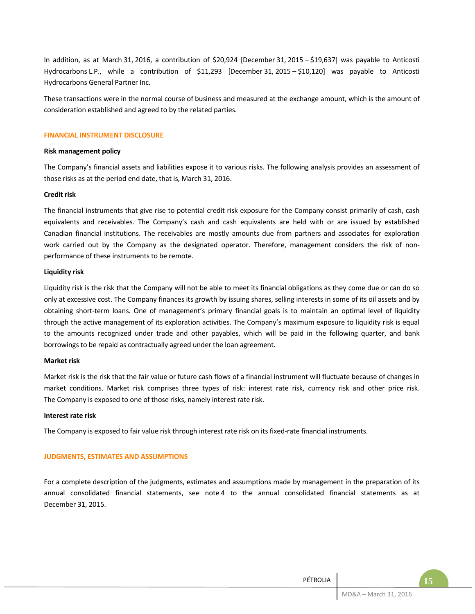In addition, as at March 31, 2016, a contribution of \$20,924 [December 31, 2015 – \$19,637] was payable to Anticosti Hydrocarbons L.P., while a contribution of \$11,293 [December 31, 2015 – \$10,120] was payable to Anticosti Hydrocarbons General Partner Inc.

These transactions were in the normal course of business and measured at the exchange amount, which is the amount of consideration established and agreed to by the related parties.

#### **FINANCIAL INSTRUMENT DISCLOSURE**

#### **Risk management policy**

The Company's financial assets and liabilities expose it to various risks. The following analysis provides an assessment of those risks as at the period end date, that is, March 31, 2016.

#### **Credit risk**

The financial instruments that give rise to potential credit risk exposure for the Company consist primarily of cash, cash equivalents and receivables. The Company's cash and cash equivalents are held with or are issued by established Canadian financial institutions. The receivables are mostly amounts due from partners and associates for exploration work carried out by the Company as the designated operator. Therefore, management considers the risk of nonperformance of these instruments to be remote.

#### **Liquidity risk**

Liquidity risk is the risk that the Company will not be able to meet its financial obligations as they come due or can do so only at excessive cost. The Company finances its growth by issuing shares, selling interests in some of its oil assets and by obtaining short-term loans. One of management's primary financial goals is to maintain an optimal level of liquidity through the active management of its exploration activities. The Company's maximum exposure to liquidity risk is equal to the amounts recognized under trade and other payables, which will be paid in the following quarter, and bank borrowings to be repaid as contractually agreed under the loan agreement.

#### **Market risk**

Market risk is the risk that the fair value or future cash flows of a financial instrument will fluctuate because of changes in market conditions. Market risk comprises three types of risk: interest rate risk, currency risk and other price risk. The Company is exposed to one of those risks, namely interest rate risk.

#### **Interest rate risk**

The Company is exposed to fair value risk through interest rate risk on its fixed-rate financial instruments.

#### **JUDGMENTS, ESTIMATES AND ASSUMPTIONS**

For a complete description of the judgments, estimates and assumptions made by management in the preparation of its annual consolidated financial statements, see note 4 to the annual consolidated financial statements as at December 31, 2015.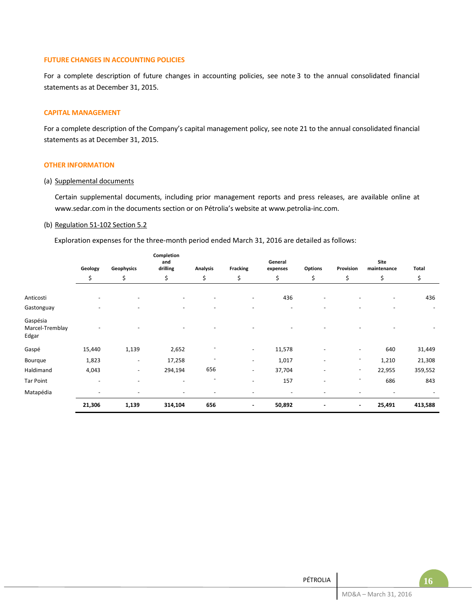#### **FUTURE CHANGES IN ACCOUNTING POLICIES**

For a complete description of future changes in accounting policies, see note 3 to the annual consolidated financial statements as at December 31, 2015.

#### **CAPITAL MANAGEMENT**

For a complete description of the Company's capital management policy, see note 21 to the annual consolidated financial statements as at December 31, 2015.

#### **OTHER INFORMATION**

#### (a) Supplemental documents

Certain supplemental documents, including prior management reports and press releases, are available online at [www.sedar.com](http://www.sedar.com/) in the documents section or on Pétrolia's website a[t www.petrolia-inc.com.](http://www.petrolia-inc.com/)

#### (b) Regulation 51-102 Section 5.2

Exploration expenses for the three-month period ended March 31, 2016 are detailed as follows:

|                                      | Geology                  | Geophysics               | Completion<br>and<br>drilling | <b>Analysis</b> | <b>Fracking</b>          | General<br>expenses | Options                  | Provision                | Site<br>maintenance | Total   |
|--------------------------------------|--------------------------|--------------------------|-------------------------------|-----------------|--------------------------|---------------------|--------------------------|--------------------------|---------------------|---------|
|                                      | \$                       | \$                       | \$                            | \$              | \$                       | \$                  | \$                       | \$                       | \$                  | \$      |
| Anticosti                            | $\overline{\phantom{a}}$ | $\overline{\phantom{a}}$ | $\overline{\phantom{a}}$      |                 | $\overline{\phantom{m}}$ | 436                 |                          |                          |                     | 436     |
| Gastonguay                           |                          |                          |                               |                 |                          |                     |                          |                          |                     |         |
| Gaspésia<br>Marcel-Tremblay<br>Edgar |                          |                          |                               |                 |                          |                     |                          |                          |                     |         |
| Gaspé                                | 15,440                   | 1,139                    | 2,652                         |                 | $\overline{\phantom{a}}$ | 11,578              |                          | $\overline{\phantom{a}}$ | 640                 | 31,449  |
| Bourque                              | 1,823                    | $\overline{\phantom{a}}$ | 17,258                        |                 | $\overline{\phantom{a}}$ | 1,017               | $\overline{\phantom{0}}$ | $\overline{\phantom{a}}$ | 1,210               | 21,308  |
| Haldimand                            | 4,043                    | $\overline{\phantom{a}}$ | 294,194                       | 656             | $\overline{\phantom{a}}$ | 37,704              |                          | $\overline{\phantom{a}}$ | 22,955              | 359,552 |
| Tar Point                            | $\overline{\phantom{0}}$ | $\overline{a}$           | $\overline{\phantom{a}}$      |                 | $\overline{\phantom{0}}$ | 157                 | ٠                        | $\overline{\phantom{m}}$ | 686                 | 843     |
| Matapédia                            |                          |                          |                               |                 |                          |                     |                          |                          |                     |         |
|                                      | 21,306                   | 1,139                    | 314,104                       | 656             | $\blacksquare$           | 50,892              |                          | $\blacksquare$           | 25,491              | 413,588 |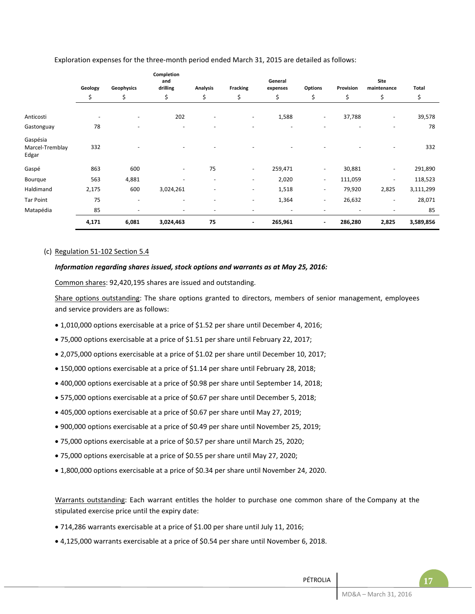|                                      | Geology                  | Geophysics               | Completion<br>and<br>drilling | <b>Analysis</b>          | <b>Fracking</b>          | General<br>expenses      | <b>Options</b>           | Provision                | Site<br>maintenance      | <b>Total</b> |
|--------------------------------------|--------------------------|--------------------------|-------------------------------|--------------------------|--------------------------|--------------------------|--------------------------|--------------------------|--------------------------|--------------|
|                                      | \$                       | \$                       | \$                            | \$                       | \$                       | \$                       | \$                       | \$                       | \$                       | \$           |
| Anticosti                            | $\overline{\phantom{a}}$ | $\overline{\phantom{a}}$ | 202                           | $\overline{\phantom{a}}$ | $\overline{\phantom{a}}$ | 1,588                    | $\overline{\phantom{a}}$ | 37,788                   | $\overline{\phantom{a}}$ | 39,578       |
| Gastonguay                           | 78                       | ۰                        |                               |                          |                          |                          |                          |                          |                          | 78           |
| Gaspésia<br>Marcel-Tremblay<br>Edgar | 332                      |                          |                               |                          |                          |                          |                          |                          |                          | 332          |
| Gaspé                                | 863                      | 600                      | $\overline{\phantom{a}}$      | 75                       | $\sim$                   | 259,471                  | $\overline{\phantom{a}}$ | 30,881                   | $\overline{\phantom{a}}$ | 291,890      |
| Bourque                              | 563                      | 4,881                    |                               | $\overline{\phantom{a}}$ | $\overline{\phantom{a}}$ | 2,020                    | $\overline{\phantom{a}}$ | 111,059                  | $\overline{\phantom{a}}$ | 118,523      |
| Haldimand                            | 2,175                    | 600                      | 3,024,261                     | $\overline{\phantom{m}}$ | $\overline{\phantom{a}}$ | 1,518                    | $\overline{\phantom{a}}$ | 79,920                   | 2,825                    | 3,111,299    |
| Tar Point                            | 75                       | $\overline{\phantom{a}}$ | $\overline{\phantom{a}}$      | $\overline{\phantom{a}}$ | $\overline{\phantom{a}}$ | 1,364                    | $\overline{\phantom{a}}$ | 26,632                   | $\overline{\phantom{m}}$ | 28,071       |
| Matapédia                            | 85                       | $\overline{\phantom{a}}$ | $\overline{\phantom{0}}$      | $\overline{\phantom{a}}$ | $\overline{\phantom{a}}$ | $\overline{\phantom{a}}$ | $\overline{\phantom{m}}$ | $\overline{\phantom{m}}$ |                          | 85           |
|                                      | 4,171                    | 6,081                    | 3,024,463                     | 75                       | $\blacksquare$           | 265,961                  | $\blacksquare$           | 286,280                  | 2,825                    | 3,589,856    |

Exploration expenses for the three-month period ended March 31, 2015 are detailed as follows:

## (c) Regulation 51-102 Section 5.4

#### *Information regarding shares issued, stock options and warrants as at May 25, 2016:*

Common shares: 92,420,195 shares are issued and outstanding.

Share options outstanding: The share options granted to directors, members of senior management, employees and service providers are as follows:

- 1,010,000 options exercisable at a price of \$1.52 per share until December 4, 2016;
- 75,000 options exercisable at a price of \$1.51 per share until February 22, 2017;
- 2,075,000 options exercisable at a price of \$1.02 per share until December 10, 2017;
- 150,000 options exercisable at a price of \$1.14 per share until February 28, 2018;
- 400,000 options exercisable at a price of \$0.98 per share until September 14, 2018;
- 575,000 options exercisable at a price of \$0.67 per share until December 5, 2018;
- 405,000 options exercisable at a price of \$0.67 per share until May 27, 2019;
- 900,000 options exercisable at a price of \$0.49 per share until November 25, 2019;
- 75,000 options exercisable at a price of \$0.57 per share until March 25, 2020;
- 75,000 options exercisable at a price of \$0.55 per share until May 27, 2020;
- 1,800,000 options exercisable at a price of \$0.34 per share until November 24, 2020.

Warrants outstanding: Each warrant entitles the holder to purchase one common share of the Company at the stipulated exercise price until the expiry date:

- 714,286 warrants exercisable at a price of \$1.00 per share until July 11, 2016;
- 4,125,000 warrants exercisable at a price of \$0.54 per share until November 6, 2018.

| PÉTROLIA |                       |  |
|----------|-----------------------|--|
|          | MD&A - March 31, 2016 |  |